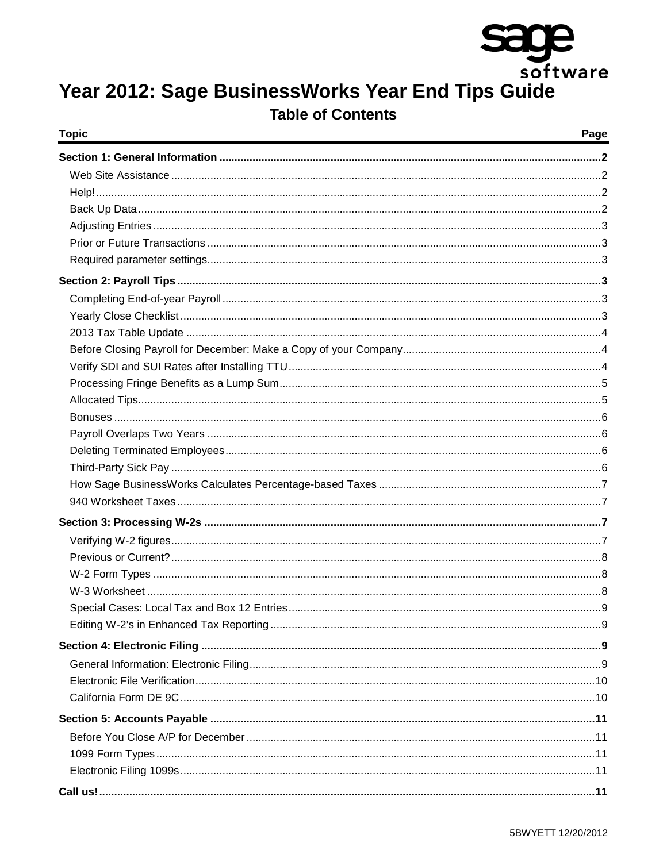

# Year 2012: Sage BusinessWorks Year End Tips Guide **Table of Contents**

| <b>Topic</b> | Page |
|--------------|------|
|              |      |
|              |      |
|              |      |
|              |      |
|              |      |
|              |      |
|              |      |
|              |      |
|              |      |
|              |      |
|              |      |
|              |      |
|              |      |
|              |      |
|              |      |
|              |      |
|              |      |
|              |      |
|              |      |
|              |      |
|              |      |
|              |      |
|              |      |
|              |      |
|              |      |
|              |      |
|              |      |
|              |      |
|              |      |
|              |      |
|              |      |
|              |      |
|              |      |
|              |      |
|              |      |
|              |      |
|              |      |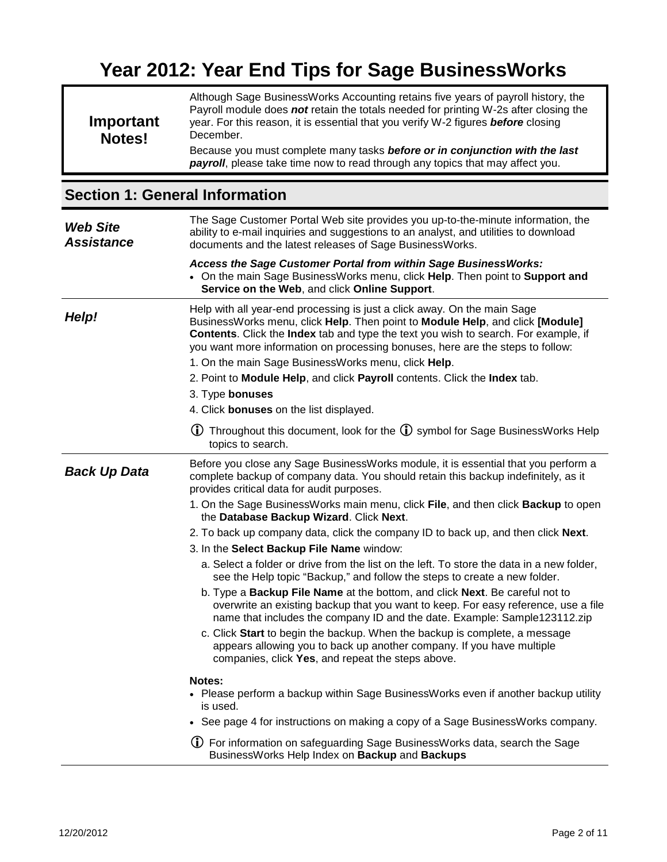# **Year 2012: Year End Tips for Sage BusinessWorks**

| Important<br>Notes! | Although Sage BusinessWorks Accounting retains five years of payroll history, the<br>Payroll module does not retain the totals needed for printing W-2s after closing the<br>year. For this reason, it is essential that you verify W-2 figures <b>before</b> closing<br>December. |
|---------------------|------------------------------------------------------------------------------------------------------------------------------------------------------------------------------------------------------------------------------------------------------------------------------------|
|                     | Because you must complete many tasks before or in conjunction with the last<br><b>payroll</b> , please take time now to read through any topics that may affect you.                                                                                                               |

## <span id="page-1-0"></span>**Section 1: General Information**

<span id="page-1-3"></span><span id="page-1-2"></span><span id="page-1-1"></span>

| <b>Web Site</b><br><b>Assistance</b> | The Sage Customer Portal Web site provides you up-to-the-minute information, the<br>ability to e-mail inquiries and suggestions to an analyst, and utilities to download<br>documents and the latest releases of Sage BusinessWorks.                                                                                                                                                                                                                                                                                                 |
|--------------------------------------|--------------------------------------------------------------------------------------------------------------------------------------------------------------------------------------------------------------------------------------------------------------------------------------------------------------------------------------------------------------------------------------------------------------------------------------------------------------------------------------------------------------------------------------|
|                                      | Access the Sage Customer Portal from within Sage BusinessWorks:<br>• On the main Sage BusinessWorks menu, click Help. Then point to Support and<br>Service on the Web, and click Online Support.                                                                                                                                                                                                                                                                                                                                     |
| Help!                                | Help with all year-end processing is just a click away. On the main Sage<br>BusinessWorks menu, click Help. Then point to Module Help, and click [Module]<br>Contents. Click the Index tab and type the text you wish to search. For example, if<br>you want more information on processing bonuses, here are the steps to follow:<br>1. On the main Sage BusinessWorks menu, click Help.<br>2. Point to Module Help, and click Payroll contents. Click the Index tab.<br>3. Type bonuses<br>4. Click bonuses on the list displayed. |
|                                      | $\bigcirc$ Throughout this document, look for the $\bigcirc$ symbol for Sage BusinessWorks Help<br>topics to search.                                                                                                                                                                                                                                                                                                                                                                                                                 |
| <b>Back Up Data</b>                  | Before you close any Sage BusinessWorks module, it is essential that you perform a<br>complete backup of company data. You should retain this backup indefinitely, as it<br>provides critical data for audit purposes.<br>1. On the Sage BusinessWorks main menu, click File, and then click Backup to open                                                                                                                                                                                                                          |
|                                      | the Database Backup Wizard. Click Next.                                                                                                                                                                                                                                                                                                                                                                                                                                                                                              |
|                                      | 2. To back up company data, click the company ID to back up, and then click Next.<br>3. In the Select Backup File Name window:                                                                                                                                                                                                                                                                                                                                                                                                       |
|                                      | a. Select a folder or drive from the list on the left. To store the data in a new folder,<br>see the Help topic "Backup," and follow the steps to create a new folder.                                                                                                                                                                                                                                                                                                                                                               |
|                                      | b. Type a Backup File Name at the bottom, and click Next. Be careful not to<br>overwrite an existing backup that you want to keep. For easy reference, use a file<br>name that includes the company ID and the date. Example: Sample123112.zip<br>c. Click Start to begin the backup. When the backup is complete, a message<br>appears allowing you to back up another company. If you have multiple<br>companies, click Yes, and repeat the steps above.                                                                           |
|                                      | Notes:<br>• Please perform a backup within Sage BusinessWorks even if another backup utility<br>is used.                                                                                                                                                                                                                                                                                                                                                                                                                             |
|                                      | • See page 4 for instructions on making a copy of a Sage BusinessWorks company.                                                                                                                                                                                                                                                                                                                                                                                                                                                      |
|                                      | (i) For information on safeguarding Sage BusinessWorks data, search the Sage<br>BusinessWorks Help Index on Backup and Backups                                                                                                                                                                                                                                                                                                                                                                                                       |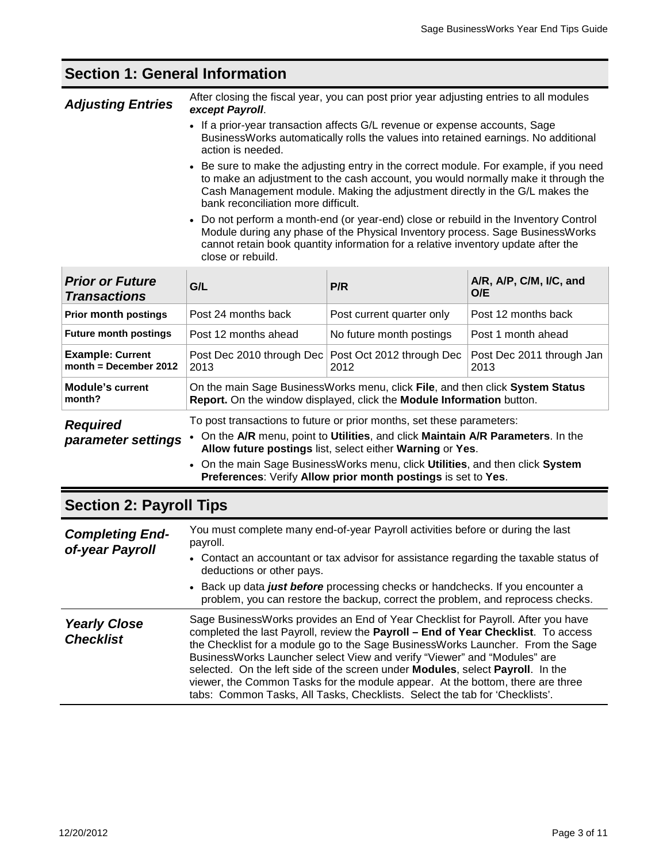#### **Section 1: General Information**

<span id="page-2-0"></span>After closing the fiscal year, you can post prior year adjusting entries to all modules<br>**Adjusting Entries**<br>**Aggeriance of Payroll** *except Payroll*.

- If a prior-year transaction affects G/L revenue or expense accounts, Sage BusinessWorks automatically rolls the values into retained earnings. No additional action is needed.
- Be sure to make the adjusting entry in the correct module. For example, if you need to make an adjustment to the cash account, you would normally make it through the Cash Management module. Making the adjustment directly in the G/L makes the bank reconciliation more difficult.
- Do not perform a month-end (or year-end) close or rebuild in the Inventory Control Module during any phase of the Physical Inventory process. Sage BusinessWorks cannot retain book quantity information for a relative inventory update after the close or rebuild.

<span id="page-2-1"></span>

| <b>Prior or Future</b><br><b>Transactions</b>    | G/L                                                                                                                                                                                                                                                                                                   | P/R                               | A/R, A/P, C/M, I/C, and<br>O/E    |
|--------------------------------------------------|-------------------------------------------------------------------------------------------------------------------------------------------------------------------------------------------------------------------------------------------------------------------------------------------------------|-----------------------------------|-----------------------------------|
| <b>Prior month postings</b>                      | Post 24 months back                                                                                                                                                                                                                                                                                   | Post current quarter only         | Post 12 months back               |
| <b>Future month postings</b>                     | Post 12 months ahead                                                                                                                                                                                                                                                                                  | No future month postings          | Post 1 month ahead                |
| <b>Example: Current</b><br>month = December 2012 | Post Dec 2010 through Dec<br>2013                                                                                                                                                                                                                                                                     | Post Oct 2012 through Dec<br>2012 | Post Dec 2011 through Jan<br>2013 |
| <b>Module's current</b><br>month?                | On the main Sage BusinessWorks menu, click File, and then click System Status<br>Report. On the window displayed, click the Module Information button.                                                                                                                                                |                                   |                                   |
| <b>Required</b><br>parameter settings            | To post transactions to future or prior months, set these parameters:<br>On the A/R menu, point to Utilities, and click Maintain A/R Parameters. In the<br>Allow future postings list, select either Warning or Yes.<br>• On the main Sage BusinessWorks menu, click Utilities, and then click System |                                   |                                   |

#### **Preferences**: Verify **Allow prior month postings** is set to **Yes**.

<span id="page-2-3"></span><span id="page-2-2"></span>

| <b>Section 2: Payroll Tips</b> |  |  |  |
|--------------------------------|--|--|--|
|--------------------------------|--|--|--|

<span id="page-2-5"></span><span id="page-2-4"></span>

| <b>Completing End-</b><br>of-year Payroll | You must complete many end-of-year Payroll activities before or during the last<br>payroll.<br>• Contact an accountant or tax advisor for assistance regarding the taxable status of<br>deductions or other pays.<br>• Back up data just before processing checks or handchecks. If you encounter a<br>problem, you can restore the backup, correct the problem, and reprocess checks.                                                                                                                                                                                                                  |
|-------------------------------------------|---------------------------------------------------------------------------------------------------------------------------------------------------------------------------------------------------------------------------------------------------------------------------------------------------------------------------------------------------------------------------------------------------------------------------------------------------------------------------------------------------------------------------------------------------------------------------------------------------------|
| <b>Yearly Close</b><br><b>Checklist</b>   | Sage BusinessWorks provides an End of Year Checklist for Payroll. After you have<br>completed the last Payroll, review the Payroll - End of Year Checklist. To access<br>the Checklist for a module go to the Sage BusinessWorks Launcher. From the Sage<br>BusinessWorks Launcher select View and verify "Viewer" and "Modules" are<br>selected. On the left side of the screen under <b>Modules</b> , select <b>Payroll</b> . In the<br>viewer, the Common Tasks for the module appear. At the bottom, there are three<br>tabs: Common Tasks, All Tasks, Checklists. Select the tab for 'Checklists'. |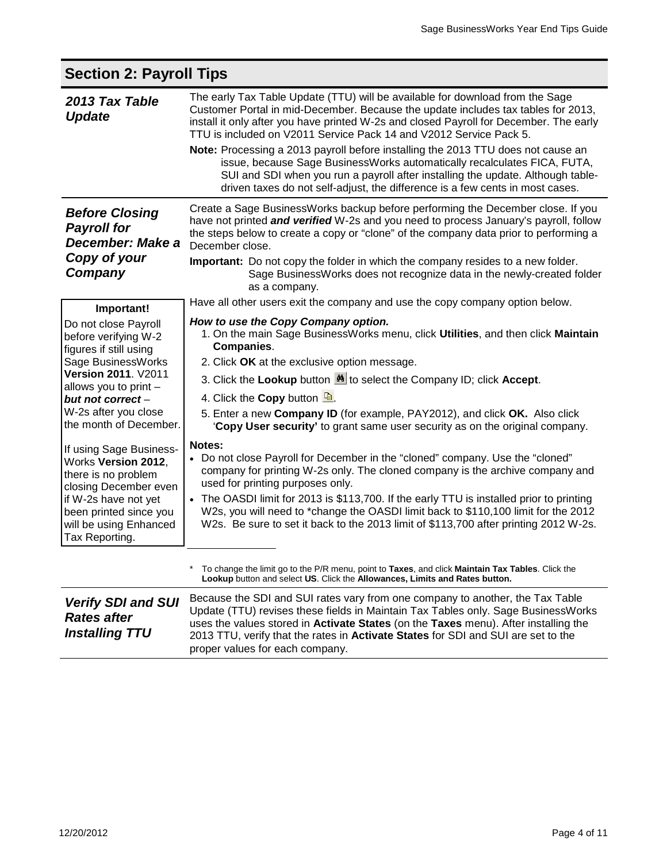<span id="page-3-3"></span><span id="page-3-2"></span><span id="page-3-1"></span><span id="page-3-0"></span>

| UGULIUII 4. I AYIUII IINJ                                                                                                                                                                                                        |                                                                                                                                                                                                                                                                                                                                                                                                                                                                                                                                                                                                                                                                        |
|----------------------------------------------------------------------------------------------------------------------------------------------------------------------------------------------------------------------------------|------------------------------------------------------------------------------------------------------------------------------------------------------------------------------------------------------------------------------------------------------------------------------------------------------------------------------------------------------------------------------------------------------------------------------------------------------------------------------------------------------------------------------------------------------------------------------------------------------------------------------------------------------------------------|
| 2013 Tax Table<br><b>Update</b>                                                                                                                                                                                                  | The early Tax Table Update (TTU) will be available for download from the Sage<br>Customer Portal in mid-December. Because the update includes tax tables for 2013,<br>install it only after you have printed W-2s and closed Payroll for December. The early<br>TTU is included on V2011 Service Pack 14 and V2012 Service Pack 5.<br>Note: Processing a 2013 payroll before installing the 2013 TTU does not cause an<br>issue, because Sage BusinessWorks automatically recalculates FICA, FUTA,<br>SUI and SDI when you run a payroll after installing the update. Although table-<br>driven taxes do not self-adjust, the difference is a few cents in most cases. |
| <b>Before Closing</b><br><b>Payroll for</b><br>December: Make a<br>Copy of your<br>Company                                                                                                                                       | Create a Sage BusinessWorks backup before performing the December close. If you<br>have not printed <i>and verified</i> W-2s and you need to process January's payroll, follow<br>the steps below to create a copy or "clone" of the company data prior to performing a<br>December close.<br>Important: Do not copy the folder in which the company resides to a new folder.<br>Sage BusinessWorks does not recognize data in the newly-created folder<br>as a company.<br>Have all other users exit the company and use the copy company option below.                                                                                                               |
| Important!<br>Do not close Payroll<br>before verifying W-2<br>figures if still using<br>Sage BusinessWorks<br>Version 2011. V2011<br>allows you to print -<br>but not correct-<br>W-2s after you close<br>the month of December. | How to use the Copy Company option.<br>1. On the main Sage BusinessWorks menu, click Utilities, and then click Maintain<br><b>Companies.</b><br>2. Click OK at the exclusive option message.<br>3. Click the Lookup button $\frac{M}{2}$ to select the Company ID; click Accept.<br>4. Click the Copy button <b>b</b><br>5. Enter a new Company ID (for example, PAY2012), and click OK. Also click<br>'Copy User security' to grant same user security as on the original company.                                                                                                                                                                                    |
| If using Sage Business-<br>Works Version 2012,<br>there is no problem<br>closing December even<br>if W-2s have not yet<br>been printed since you<br>will be using Enhanced<br>Tax Reporting.                                     | Notes:<br>• Do not close Payroll for December in the "cloned" company. Use the "cloned"<br>company for printing W-2s only. The cloned company is the archive company and<br>used for printing purposes only.<br>• The OASDI limit for 2013 is \$113,700. If the early TTU is installed prior to printing<br>W2s, you will need to *change the OASDI limit back to \$110,100 limit for the 2012<br>W2s. Be sure to set it back to the 2013 limit of \$113,700 after printing 2012 W-2s.                                                                                                                                                                                 |
|                                                                                                                                                                                                                                  | To change the limit go to the P/R menu, point to Taxes, and click Maintain Tax Tables. Click the<br>Lookup button and select US. Click the Allowances, Limits and Rates button.                                                                                                                                                                                                                                                                                                                                                                                                                                                                                        |
| <b>Verify SDI and SUI</b><br><b>Rates after</b><br><b>Installing TTU</b>                                                                                                                                                         | Because the SDI and SUI rates vary from one company to another, the Tax Table<br>Update (TTU) revises these fields in Maintain Tax Tables only. Sage BusinessWorks<br>uses the values stored in Activate States (on the Taxes menu). After installing the<br>2013 TTU, verify that the rates in Activate States for SDI and SUI are set to the<br>proper values for each company.                                                                                                                                                                                                                                                                                      |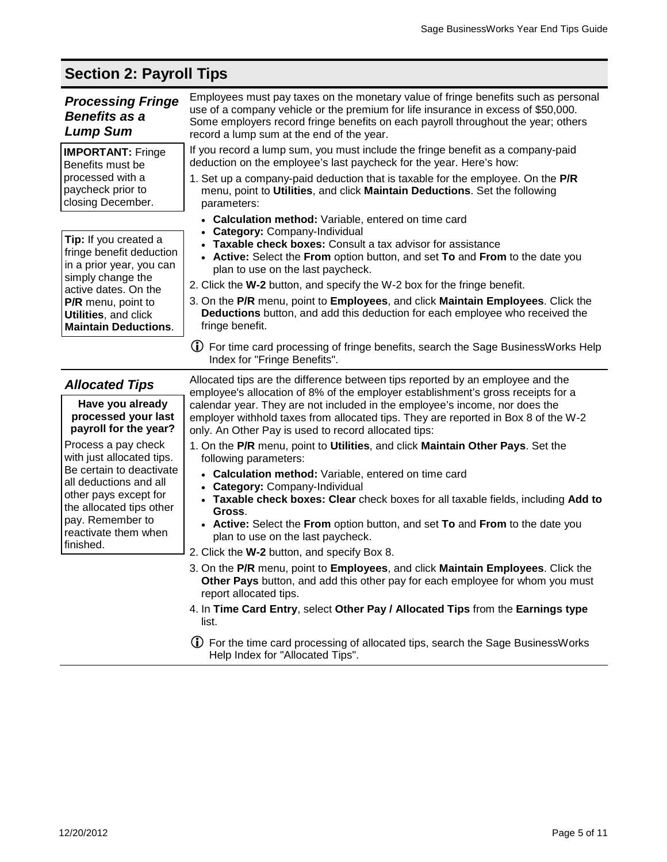<span id="page-4-1"></span><span id="page-4-0"></span>

| <b>Processing Fringe</b><br><b>Benefits as a</b><br><b>Lump Sum</b>                                                                                                                                                  | Employees must pay taxes on the monetary value of fringe benefits such as personal<br>use of a company vehicle or the premium for life insurance in excess of \$50,000.<br>Some employers record fringe benefits on each payroll throughout the year; others<br>record a lump sum at the end of the year.                                                                                                                                                                                                                                                                                                                                   |
|----------------------------------------------------------------------------------------------------------------------------------------------------------------------------------------------------------------------|---------------------------------------------------------------------------------------------------------------------------------------------------------------------------------------------------------------------------------------------------------------------------------------------------------------------------------------------------------------------------------------------------------------------------------------------------------------------------------------------------------------------------------------------------------------------------------------------------------------------------------------------|
| <b>IMPORTANT: Fringe</b><br>Benefits must be<br>processed with a<br>paycheck prior to<br>closing December.                                                                                                           | If you record a lump sum, you must include the fringe benefit as a company-paid<br>deduction on the employee's last paycheck for the year. Here's how:<br>1. Set up a company-paid deduction that is taxable for the employee. On the P/R<br>menu, point to Utilities, and click Maintain Deductions. Set the following<br>parameters:                                                                                                                                                                                                                                                                                                      |
| Tip: If you created a<br>fringe benefit deduction<br>in a prior year, you can<br>simply change the<br>active dates. On the<br>P/R menu, point to<br>Utilities, and click<br><b>Maintain Deductions.</b>              | • Calculation method: Variable, entered on time card<br><b>Category: Company-Individual</b><br>Taxable check boxes: Consult a tax advisor for assistance<br>• Active: Select the From option button, and set To and From to the date you<br>plan to use on the last paycheck.<br>2. Click the W-2 button, and specify the W-2 box for the fringe benefit.<br>3. On the P/R menu, point to Employees, and click Maintain Employees. Click the<br>Deductions button, and add this deduction for each employee who received the<br>fringe benefit.                                                                                             |
|                                                                                                                                                                                                                      | (j) For time card processing of fringe benefits, search the Sage BusinessWorks Help<br>Index for "Fringe Benefits".                                                                                                                                                                                                                                                                                                                                                                                                                                                                                                                         |
| <b>Allocated Tips</b><br>Have you already<br>processed your last<br>payroll for the year?                                                                                                                            | Allocated tips are the difference between tips reported by an employee and the<br>employee's allocation of 8% of the employer establishment's gross receipts for a<br>calendar year. They are not included in the employee's income, nor does the<br>employer withhold taxes from allocated tips. They are reported in Box 8 of the W-2<br>only. An Other Pay is used to record allocated tips:                                                                                                                                                                                                                                             |
| Process a pay check<br>with just allocated tips.<br>Be certain to deactivate<br>all deductions and all<br>other pays except for<br>the allocated tips other<br>pay. Remember to<br>reactivate them when<br>finished. | 1. On the P/R menu, point to Utilities, and click Maintain Other Pays. Set the<br>following parameters:<br>• Calculation method: Variable, entered on time card<br><b>Category: Company-Individual</b><br>Taxable check boxes: Clear check boxes for all taxable fields, including Add to<br>Gross.<br>• Active: Select the From option button, and set To and From to the date you<br>plan to use on the last paycheck.<br>2. Click the W-2 button, and specify Box 8.<br>3. On the P/R menu, point to Employees, and click Maintain Employees. Click the<br>Other Pays button, and add this other pay for each employee for whom you must |

 For the time card processing of allocated tips, search the Sage BusinessWorks Help Index for "Allocated Tips".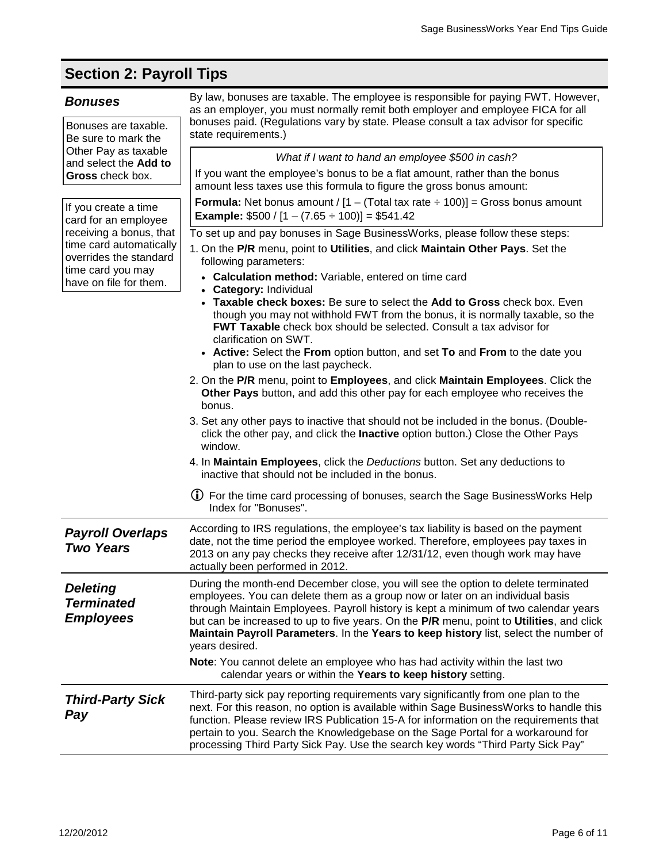Bonuses are taxable. Be sure to mark the Other Pay as taxable and select the **Add to Gross** check box.

If you create a time card for an employee receiving a bonus, that time card automatically overrides the standard time card you may have on file for them.

<span id="page-5-0"></span>**Bonuses** By law, bonuses are taxable. The employee is responsible for paying FWT. However, as an employer, you must normally remit both employer and employee FICA for all bonuses paid. (Regulations vary by state. Please consult a tax advisor for specific state requirements.)

*What if I want to hand an employee \$500 in cash?*

If you want the employee's bonus to be a flat amount, rather than the bonus amount less taxes use this formula to figure the gross bonus amount:

**Formula:** Net bonus amount /  $[1 - (Total tax rate  $\div$  100)] = Gross bonus amount$ **Example:**  $$500 / [1 - (7.65 \div 100)] = $541.42$ 

To set up and pay bonuses in Sage BusinessWorks, please follow these steps:

- 1. On the **P/R** menu, point to **Utilities**, and click **Maintain Other Pays**. Set the following parameters:
	- **Calculation method:** Variable, entered on time card
	- **Category:** Individual
	- **Taxable check boxes:** Be sure to select the **Add to Gross** check box. Even though you may not withhold FWT from the bonus, it is normally taxable, so the **FWT Taxable** check box should be selected. Consult a tax advisor for clarification on SWT.
	- **Active:** Select the **From** option button, and set **To** and **From** to the date you plan to use on the last paycheck.
- 2. On the **P/R** menu, point to **Employees**, and click **Maintain Employees**. Click the **Other Pays** button, and add this other pay for each employee who receives the bonus.
- 3. Set any other pays to inactive that should not be included in the bonus. (Doubleclick the other pay, and click the **Inactive** option button.) Close the Other Pays window.
- 4. In **Maintain Employees**, click the *Deductions* button. Set any deductions to inactive that should not be included in the bonus.
- For the time card processing of bonuses, search the Sage BusinessWorks Help Index for "Bonuses".

<span id="page-5-3"></span><span id="page-5-2"></span><span id="page-5-1"></span>

| <b>Payroll Overlaps</b><br><b>Two Years</b>              | According to IRS regulations, the employee's tax liability is based on the payment<br>date, not the time period the employee worked. Therefore, employees pay taxes in<br>2013 on any pay checks they receive after 12/31/12, even though work may have<br>actually been performed in 2012.                                                                                                                                                                     |
|----------------------------------------------------------|-----------------------------------------------------------------------------------------------------------------------------------------------------------------------------------------------------------------------------------------------------------------------------------------------------------------------------------------------------------------------------------------------------------------------------------------------------------------|
| <b>Deleting</b><br><b>Terminated</b><br><b>Employees</b> | During the month-end December close, you will see the option to delete terminated<br>employees. You can delete them as a group now or later on an individual basis<br>through Maintain Employees. Payroll history is kept a minimum of two calendar years<br>but can be increased to up to five years. On the P/R menu, point to Utilities, and click<br>Maintain Payroll Parameters. In the Years to keep history list, select the number of<br>years desired. |
|                                                          | Note: You cannot delete an employee who has had activity within the last two<br>calendar years or within the Years to keep history setting.                                                                                                                                                                                                                                                                                                                     |
| <b>Third-Party Sick</b><br>Pay                           | Third-party sick pay reporting requirements vary significantly from one plan to the<br>next. For this reason, no option is available within Sage BusinessWorks to handle this<br>function. Please review IRS Publication 15-A for information on the requirements that<br>pertain to you. Search the Knowledgebase on the Sage Portal for a workaround for<br>processing Third Party Sick Pay. Use the search key words "Third Party Sick Pay"                  |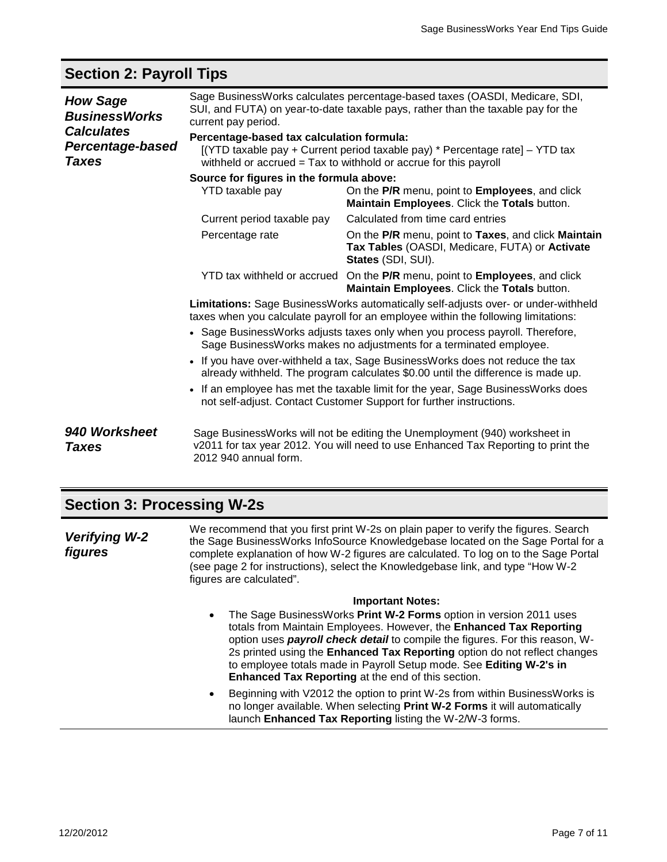<span id="page-6-0"></span>

| <b>How Sage</b><br><b>BusinessWorks</b>               | Sage BusinessWorks calculates percentage-based taxes (OASDI, Medicare, SDI,<br>SUI, and FUTA) on year-to-date taxable pays, rather than the taxable pay for the<br>current pay period.        |                                                                                                                                                                 |  |
|-------------------------------------------------------|-----------------------------------------------------------------------------------------------------------------------------------------------------------------------------------------------|-----------------------------------------------------------------------------------------------------------------------------------------------------------------|--|
| <b>Calculates</b><br>Percentage-based<br><b>Taxes</b> | Percentage-based tax calculation formula:<br>[(YTD taxable pay + Current period taxable pay) * Percentage rate] - YTD tax<br>withheld or accrued = Tax to withhold or accrue for this payroll |                                                                                                                                                                 |  |
|                                                       | Source for figures in the formula above:<br><b>YTD taxable pay</b>                                                                                                                            | On the P/R menu, point to Employees, and click<br>Maintain Employees. Click the Totals button.                                                                  |  |
|                                                       | Current period taxable pay                                                                                                                                                                    | Calculated from time card entries                                                                                                                               |  |
|                                                       | Percentage rate                                                                                                                                                                               | On the P/R menu, point to Taxes, and click Maintain<br>Tax Tables (OASDI, Medicare, FUTA) or Activate<br>States (SDI, SUI).                                     |  |
|                                                       |                                                                                                                                                                                               | YTD tax withheld or accrued On the P/R menu, point to Employees, and click<br>Maintain Employees. Click the Totals button.                                      |  |
|                                                       | Limitations: Sage BusinessWorks automatically self-adjusts over- or under-withheld<br>taxes when you calculate payroll for an employee within the following limitations:                      |                                                                                                                                                                 |  |
|                                                       | • Sage BusinessWorks adjusts taxes only when you process payroll. Therefore,<br>Sage BusinessWorks makes no adjustments for a terminated employee.                                            |                                                                                                                                                                 |  |
|                                                       | • If you have over-withheld a tax, Sage BusinessWorks does not reduce the tax<br>already withheld. The program calculates \$0.00 until the difference is made up.                             |                                                                                                                                                                 |  |
|                                                       |                                                                                                                                                                                               | • If an employee has met the taxable limit for the year, Sage BusinessWorks does<br>not self-adjust. Contact Customer Support for further instructions.         |  |
| 940 Worksheet<br>Taxes                                | 2012 940 annual form.                                                                                                                                                                         | Sage BusinessWorks will not be editing the Unemployment (940) worksheet in<br>v2011 for tax year 2012. You will need to use Enhanced Tax Reporting to print the |  |

#### <span id="page-6-1"></span>**Section 3: Processing W-2s**

<span id="page-6-2"></span>*Verifying W-2 figures* We recommend that you first print W-2s on plain paper to verify the figures. Search the Sage BusinessWorks InfoSource Knowledgebase located on the Sage Portal for a complete explanation of how W-2 figures are calculated. To log on to the Sage Portal (see page [2](#page-1-1) for instructions), select the Knowledgebase link, and type "How W-2 figures are calculated".

#### **Important Notes:**

- The Sage BusinessWorks **Print W-2 Forms** option in version 2011 uses totals from Maintain Employees. However, the **Enhanced Tax Reporting** option uses *payroll check detail* to compile the figures. For this reason, W-2s printed using the **Enhanced Tax Reporting** option do not reflect changes to employee totals made in Payroll Setup mode. See **Editing W-2's in Enhanced Tax Reporting** at the end of this section.
- Beginning with V2012 the option to print W-2s from within BusinessWorks is no longer available. When selecting **Print W-2 Forms** it will automatically launch **Enhanced Tax Reporting** listing the W-2/W-3 forms.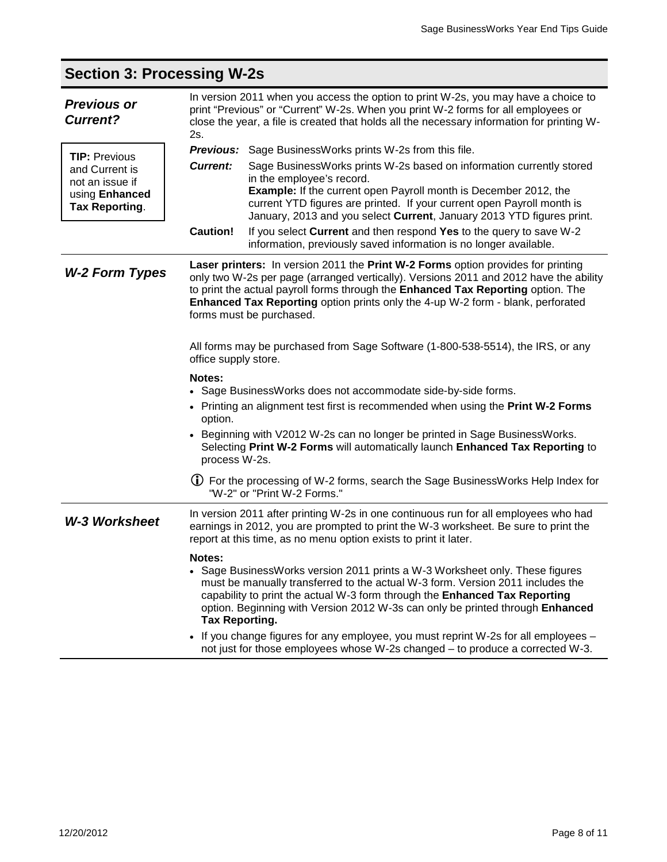<span id="page-7-2"></span><span id="page-7-1"></span><span id="page-7-0"></span>

| <b>Section 3: Processing W-2s</b>                                            |                                                                                                                                                                                                                                                                                                                                                                              |  |  |
|------------------------------------------------------------------------------|------------------------------------------------------------------------------------------------------------------------------------------------------------------------------------------------------------------------------------------------------------------------------------------------------------------------------------------------------------------------------|--|--|
| <b>Previous or</b><br><b>Current?</b>                                        | In version 2011 when you access the option to print W-2s, you may have a choice to<br>print "Previous" or "Current" W-2s. When you print W-2 forms for all employees or<br>close the year, a file is created that holds all the necessary information for printing W-<br>2s.                                                                                                 |  |  |
| <b>TIP: Previous</b>                                                         | Previous: Sage BusinessWorks prints W-2s from this file.<br><b>Current:</b><br>Sage BusinessWorks prints W-2s based on information currently stored                                                                                                                                                                                                                          |  |  |
| and Current is<br>not an issue if<br>using Enhanced<br><b>Tax Reporting.</b> | in the employee's record.<br><b>Example:</b> If the current open Payroll month is December 2012, the<br>current YTD figures are printed. If your current open Payroll month is<br>January, 2013 and you select Current, January 2013 YTD figures print.                                                                                                                      |  |  |
|                                                                              | <b>Caution!</b><br>If you select Current and then respond Yes to the query to save W-2<br>information, previously saved information is no longer available.                                                                                                                                                                                                                  |  |  |
| <b>W-2 Form Types</b>                                                        | Laser printers: In version 2011 the Print W-2 Forms option provides for printing<br>only two W-2s per page (arranged vertically). Versions 2011 and 2012 have the ability<br>to print the actual payroll forms through the Enhanced Tax Reporting option. The<br>Enhanced Tax Reporting option prints only the 4-up W-2 form - blank, perforated<br>forms must be purchased. |  |  |
|                                                                              | All forms may be purchased from Sage Software (1-800-538-5514), the IRS, or any<br>office supply store.                                                                                                                                                                                                                                                                      |  |  |
|                                                                              | Notes:                                                                                                                                                                                                                                                                                                                                                                       |  |  |
|                                                                              | • Sage BusinessWorks does not accommodate side-by-side forms.<br>• Printing an alignment test first is recommended when using the Print W-2 Forms<br>option.                                                                                                                                                                                                                 |  |  |
|                                                                              | • Beginning with V2012 W-2s can no longer be printed in Sage BusinessWorks.<br>Selecting Print W-2 Forms will automatically launch Enhanced Tax Reporting to<br>process W-2s.                                                                                                                                                                                                |  |  |
|                                                                              | (j) For the processing of W-2 forms, search the Sage BusinessWorks Help Index for<br>"W-2" or "Print W-2 Forms."                                                                                                                                                                                                                                                             |  |  |
| <b>W-3 Worksheet</b>                                                         | In version 2011 after printing W-2s in one continuous run for all employees who had<br>earnings in 2012, you are prompted to print the W-3 worksheet. Be sure to print the<br>report at this time, as no menu option exists to print it later.                                                                                                                               |  |  |
|                                                                              | Notes:<br>• Sage BusinessWorks version 2011 prints a W-3 Worksheet only. These figures<br>must be manually transferred to the actual W-3 form. Version 2011 includes the<br>capability to print the actual W-3 form through the Enhanced Tax Reporting<br>option. Beginning with Version 2012 W-3s can only be printed through Enhanced<br><b>Tax Reporting.</b>             |  |  |
|                                                                              | • If you change figures for any employee, you must reprint W-2s for all employees -<br>not just for those employees whose W-2s changed - to produce a corrected W-3.                                                                                                                                                                                                         |  |  |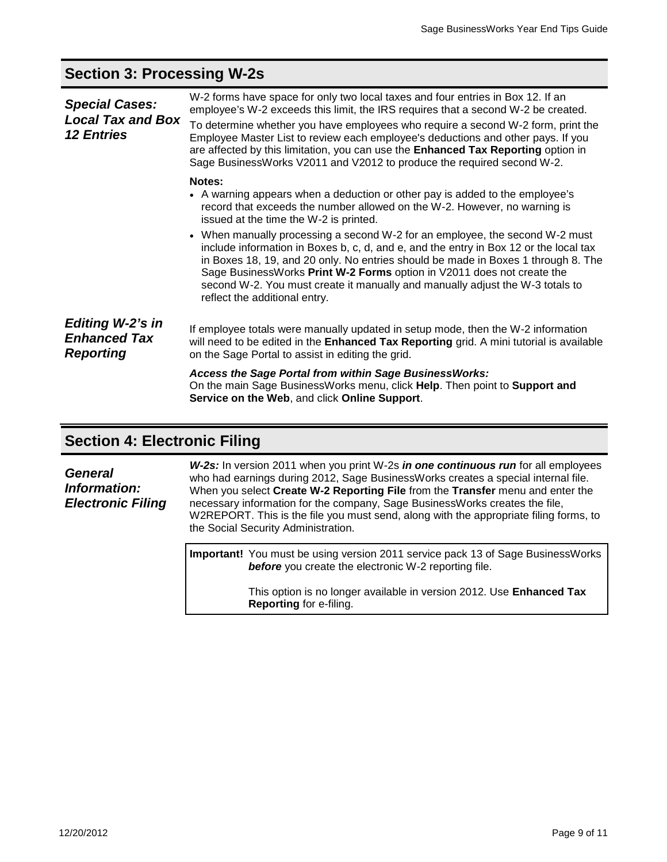## **Section 3: Processing W-2s**

<span id="page-8-0"></span>

| <b>Special Cases:</b><br><b>Local Tax and Box</b><br><b>12 Entries</b> | W-2 forms have space for only two local taxes and four entries in Box 12. If an<br>employee's W-2 exceeds this limit, the IRS requires that a second W-2 be created.<br>To determine whether you have employees who require a second W-2 form, print the<br>Employee Master List to review each employee's deductions and other pays. If you<br>are affected by this limitation, you can use the Enhanced Tax Reporting option in<br>Sage BusinessWorks V2011 and V2012 to produce the required second W-2. |
|------------------------------------------------------------------------|-------------------------------------------------------------------------------------------------------------------------------------------------------------------------------------------------------------------------------------------------------------------------------------------------------------------------------------------------------------------------------------------------------------------------------------------------------------------------------------------------------------|
|                                                                        | Notes:<br>• A warning appears when a deduction or other pay is added to the employee's<br>record that exceeds the number allowed on the W-2. However, no warning is<br>issued at the time the W-2 is printed.                                                                                                                                                                                                                                                                                               |
|                                                                        | • When manually processing a second W-2 for an employee, the second W-2 must<br>include information in Boxes b, c, d, and e, and the entry in Box 12 or the local tax<br>in Boxes 18, 19, and 20 only. No entries should be made in Boxes 1 through 8. The<br>Sage BusinessWorks Print W-2 Forms option in V2011 does not create the<br>second W-2. You must create it manually and manually adjust the W-3 totals to<br>reflect the additional entry.                                                      |
| <b>Editing W-2's in</b><br><b>Enhanced Tax</b><br><b>Reporting</b>     | If employee totals were manually updated in setup mode, then the W-2 information<br>will need to be edited in the Enhanced Tax Reporting grid. A mini tutorial is available<br>on the Sage Portal to assist in editing the grid.                                                                                                                                                                                                                                                                            |
|                                                                        | <b>Access the Sage Portal from within Sage Business Works:</b><br>On the main Sage BusinessWorks menu, click Help. Then point to Support and<br>Service on the Web, and click Online Support.                                                                                                                                                                                                                                                                                                               |

## <span id="page-8-1"></span>**Section 4: Electronic Filing**

<span id="page-8-2"></span>

| <b>General</b><br>Information:<br><b>Electronic Filing</b> | W-2s: In version 2011 when you print W-2s in one continuous run for all employees<br>who had earnings during 2012, Sage BusinessWorks creates a special internal file.<br>When you select Create W-2 Reporting File from the Transfer menu and enter the<br>necessary information for the company, Sage BusinessWorks creates the file,<br>W2REPORT. This is the file you must send, along with the appropriate filing forms, to<br>the Social Security Administration. |
|------------------------------------------------------------|-------------------------------------------------------------------------------------------------------------------------------------------------------------------------------------------------------------------------------------------------------------------------------------------------------------------------------------------------------------------------------------------------------------------------------------------------------------------------|
|                                                            | Important! You must be using version 2011 service pack 13 of Sage BusinessWorks<br><b>before</b> you create the electronic W-2 reporting file.                                                                                                                                                                                                                                                                                                                          |
|                                                            | This option is no longer available in version 2012. Use Enhanced Tax                                                                                                                                                                                                                                                                                                                                                                                                    |

**Reporting** for e-filing.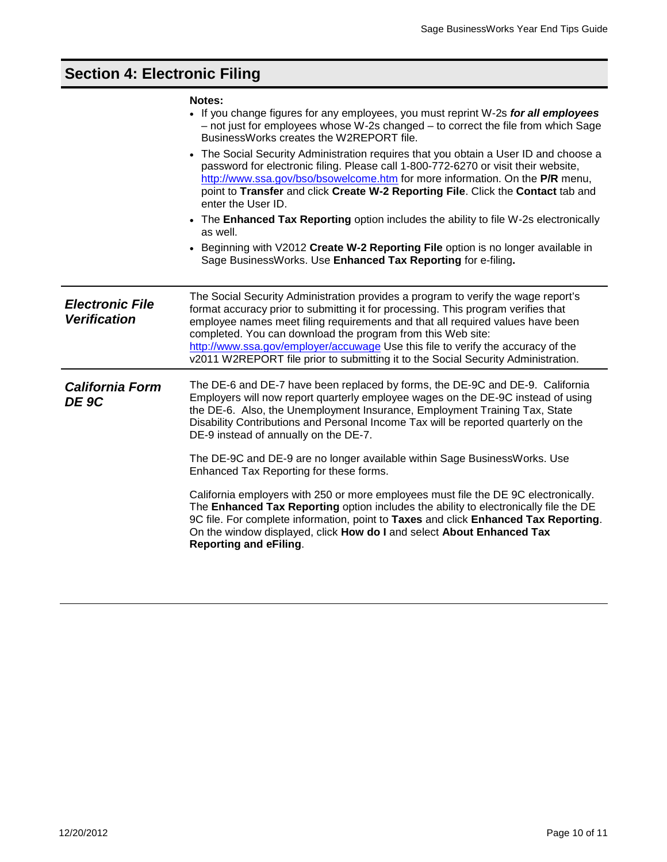#### **Section 4: Electronic Filing**

| ∙ote<br>N |  |
|-----------|--|
| ×         |  |

- If you change figures for any employees, you must reprint W-2s *for all employees* – not just for employees whose W-2s changed – to correct the file from which Sage BusinessWorks creates the W2REPORT file.
- The Social Security Administration requires that you obtain a User ID and choose a password for electronic filing. Please call 1-800-772-6270 or visit their website, <http://www.ssa.gov/bso/bsowelcome.htm> for more information. On the **P/R** menu, point to **Transfer** and click **Create W-2 Reporting File**. Click the **Contact** tab and enter the User ID.
- The **Enhanced Tax Reporting** option includes the ability to file W-2s electronically as well.
- Beginning with V2012 **Create W-2 Reporting File** option is no longer available in Sage BusinessWorks. Use **Enhanced Tax Reporting** for e-filing**.**

<span id="page-9-1"></span><span id="page-9-0"></span>

| <b>Electronic File</b><br><b>Verification</b> | The Social Security Administration provides a program to verify the wage report's<br>format accuracy prior to submitting it for processing. This program verifies that<br>employee names meet filing requirements and that all required values have been<br>completed. You can download the program from this Web site:<br>http://www.ssa.gov/employer/accuwage Use this file to verify the accuracy of the<br>v2011 W2REPORT file prior to submitting it to the Social Security Administration. |
|-----------------------------------------------|--------------------------------------------------------------------------------------------------------------------------------------------------------------------------------------------------------------------------------------------------------------------------------------------------------------------------------------------------------------------------------------------------------------------------------------------------------------------------------------------------|
| <b>California Form</b><br>DE 9C               | The DE-6 and DE-7 have been replaced by forms, the DE-9C and DE-9. California<br>Employers will now report quarterly employee wages on the DE-9C instead of using<br>the DE-6. Also, the Unemployment Insurance, Employment Training Tax, State                                                                                                                                                                                                                                                  |

DE-9 instead of annually on the DE-7.

The DE-9C and DE-9 are no longer available within Sage BusinessWorks. Use Enhanced Tax Reporting for these forms.

Disability Contributions and Personal Income Tax will be reported quarterly on the

<span id="page-9-2"></span>California employers with 250 or more employees must file the DE 9C electronically. The **Enhanced Tax Reporting** option includes the ability to electronically file the DE 9C file. For complete information, point to **Taxes** and click **Enhanced Tax Reporting**. On the window displayed, click **How do I** and select **About Enhanced Tax Reporting and eFiling**.